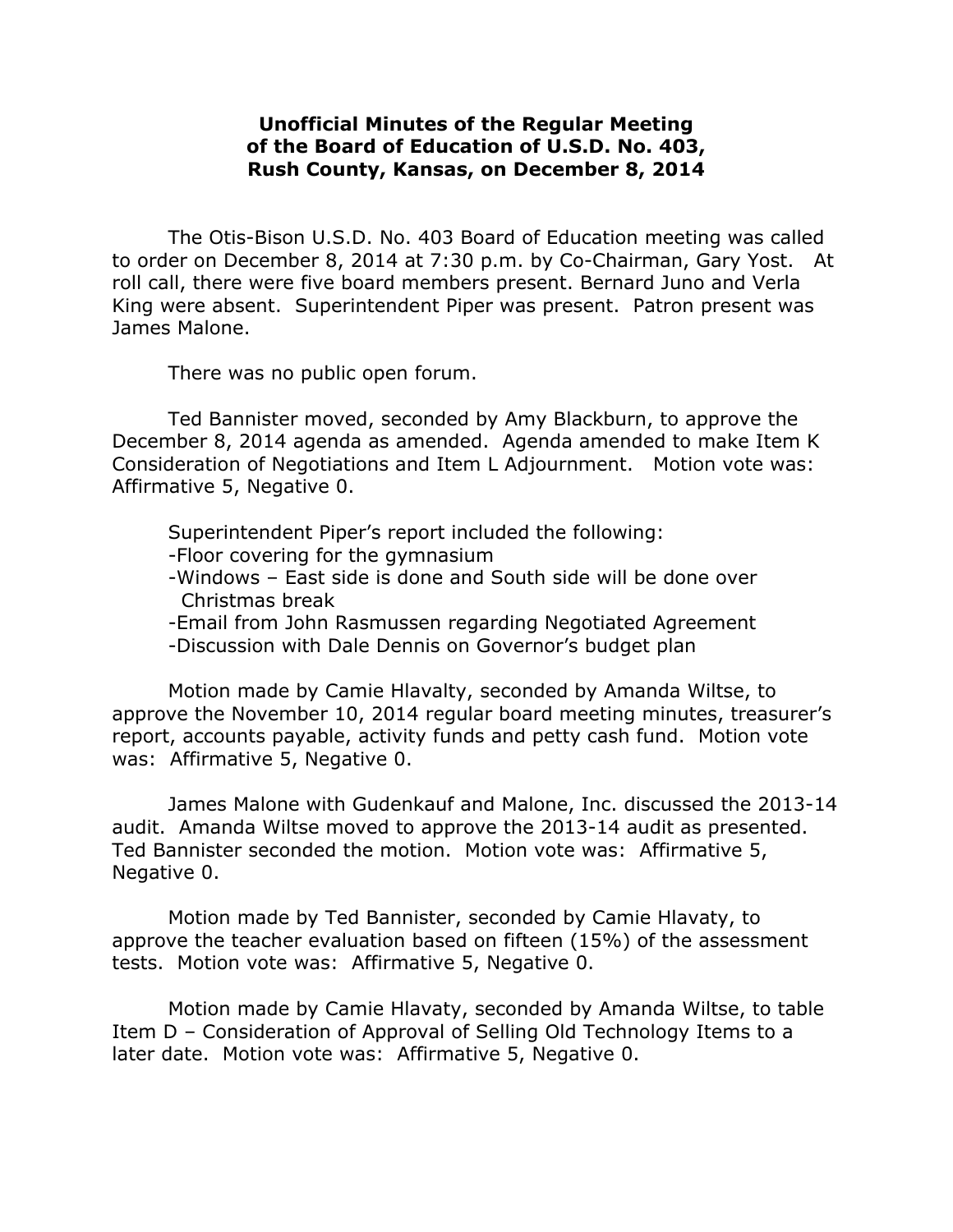## **Unofficial Minutes of the Regular Meeting of the Board of Education of U.S.D. No. 403, Rush County, Kansas, on December 8, 2014**

The Otis-Bison U.S.D. No. 403 Board of Education meeting was called to order on December 8, 2014 at 7:30 p.m. by Co-Chairman, Gary Yost. At roll call, there were five board members present. Bernard Juno and Verla King were absent. Superintendent Piper was present. Patron present was James Malone.

There was no public open forum.

Ted Bannister moved, seconded by Amy Blackburn, to approve the December 8, 2014 agenda as amended. Agenda amended to make Item K Consideration of Negotiations and Item L Adjournment. Motion vote was: Affirmative 5, Negative 0.

Superintendent Piper's report included the following:

-Floor covering for the gymnasium

- -Windows East side is done and South side will be done over Christmas break
- -Email from John Rasmussen regarding Negotiated Agreement
- -Discussion with Dale Dennis on Governor's budget plan

Motion made by Camie Hlavalty, seconded by Amanda Wiltse, to approve the November 10, 2014 regular board meeting minutes, treasurer's report, accounts payable, activity funds and petty cash fund. Motion vote was: Affirmative 5, Negative 0.

James Malone with Gudenkauf and Malone, Inc. discussed the 2013-14 audit. Amanda Wiltse moved to approve the 2013-14 audit as presented. Ted Bannister seconded the motion. Motion vote was: Affirmative 5, Negative 0.

Motion made by Ted Bannister, seconded by Camie Hlavaty, to approve the teacher evaluation based on fifteen (15%) of the assessment tests. Motion vote was: Affirmative 5, Negative 0.

Motion made by Camie Hlavaty, seconded by Amanda Wiltse, to table Item D – Consideration of Approval of Selling Old Technology Items to a later date. Motion vote was: Affirmative 5, Negative 0.